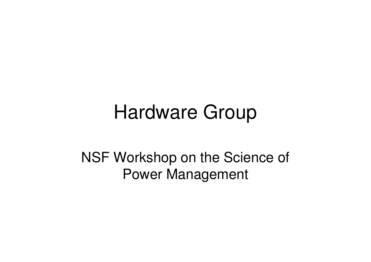# Hardware Group

NSF Workshop on the Science of Power Management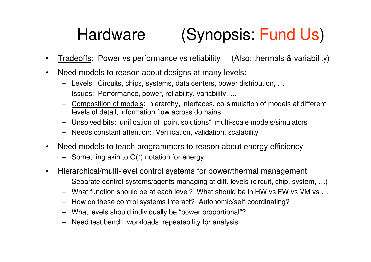#### Hardware(Synopsis: Fund Us)

- •Tradeoffs: Power vs performance vs reliability (Also: thermals & variability)
- $\bullet$  Need models to reason about designs at many levels:
	- –Levels: Circuits, chips, systems, data centers, power distribution, …
	- –Issues: Performance, power, reliability, variability, …
	- Composition of models: hierarchy, interfaces, co-simulation of models at different levels of detail, information flow across domains, …
	- Unsolved bits: unification of "point solutions", multi-scale models/simulators–
	- Needs constant attention: Verification, validation, scalability
- $\bullet$  Need models to teach programmers to reason about energy efficiency
	- Something akin to O(\*) notation for energy
- $\bullet$  Hierarchical/multi-level control systems for power/thermal management
	- –Separate control systems/agents managing at diff. levels (circuit, chip, system, …)
	- What function should be at each level? What should be in HW vs FW vs VM vs …
	- –How do these control systems interact? Autonomic/self-coordinating?
	- What levels should individually be "power proportional"?
	- –Need test bench, workloads, repeatability for analysis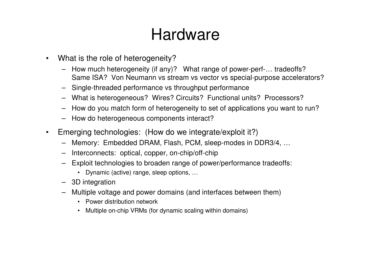#### Hardware

- $\bullet$  What is the role of heterogeneity?
	- How much heterogeneity (if any)? What range of power-perf-… tradeoffs?Same ISA? Von Neumann vs stream vs vector vs special-purpose accelerators?
	- Single-threaded performance vs throughput performance
	- What is heterogeneous? Wires? Circuits? Functional units? Processors?
	- How do you match form of heterogeneity to set of applications you want to run?
	- How do heterogeneous components interact?
- $\bullet$  Emerging technologies: (How do we integrate/exploit it?)
	- Memory: Embedded DRAM, Flash, PCM, sleep-modes in DDR3/4, …
	- –Interconnects: optical, copper, on-chip/off-chip
	- Exploit technologies to broaden range of power/performance tradeoffs:
		- Dynamic (active) range, sleep options, …
	- 3D integration
	- – Multiple voltage and power domains (and interfaces between them)
		- Power distribution network
		- Multiple on-chip VRMs (for dynamic scaling within domains)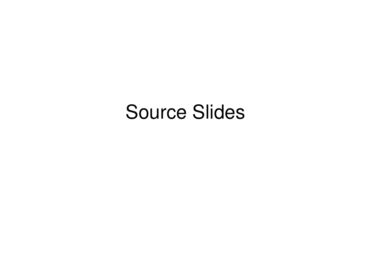## Source Slides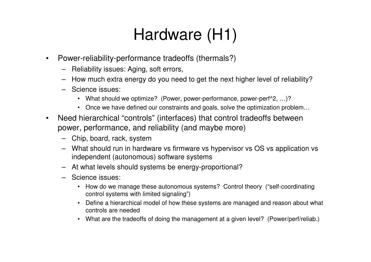- $\bullet$  Power-reliability-performance tradeoffs (thermals?)
	- Reliability issues: Aging, soft errors,
	- How much extra energy do you need to get the next higher level of reliability?
	- Science issues:
		- What should we optimize? (Power, power-performance, power-perf^2, …)?
		- Once we have defined our constraints and goals, solve the optimization problem...
- Need hierarchical "controls" (interfaces) that control tradeoffs between  $\bullet$ power, performance, and reliability (and maybe more)
	- Chip, board, rack, system
	- What should run in hardware vs firmware vs hypervisor vs OS vs application vsindependent (autonomous) software systems
	- At what levels should systems be energy-proportional?
	- Science issues:
		- How do we manage these autonomous systems? Control theory ("self-coordinating control systems with limited signaling")
		- Define a hierarchical model of how these systems are managed and reason about what controls are needed
		- What are the tradeoffs of doing the management at a given level? (Power/perf/reliab.)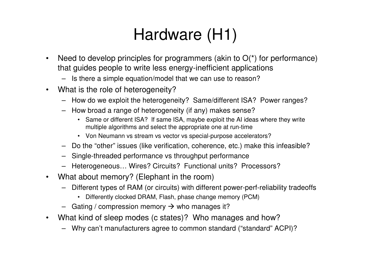- $\bullet$ Need to develop principles for programmers (akin to  $O(*)$  for performance) that guides people to write less energy-inefficient applications
	- Is there a simple equation/model that we can use to reason?
- $\bullet$  What is the role of heterogeneity?
	- How do we exploit the heterogeneity? Same/different ISA? Power ranges?
	- How broad a range of heterogeneity (if any) makes sense?
		- Same or different ISA? If same ISA, maybe exploit the AI ideas where they write multiple algorithms and select the appropriate one at run-time
		- Von Neumann vs stream vs vector vs special-purpose accelerators?
	- Do the "other" issues (like verification, coherence, etc.) make this infeasible?
	- Single-threaded performance vs throughput performance
	- Heterogeneous… Wires? Circuits? Functional units? Processors?
- $\bullet$  What about memory? (Elephant in the room)
	- Different types of RAM (or circuits) with different power-perf-reliability tradeoffs
		- Differently clocked DRAM, Flash, phase change memory (PCM)
	- Gating / compression memory  $\rightarrow$  who manages it?
- $\bullet$  What kind of sleep modes (c states)? Who manages and how?
	- Why can't manufacturers agree to common standard ("standard" ACPI)?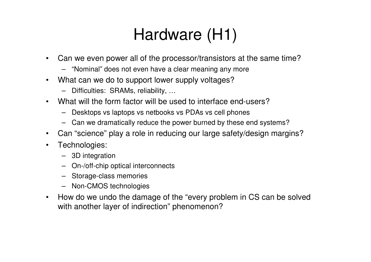- $\bullet$  Can we even power all of the processor/transistors at the same time?
	- "Nominal" does not even have a clear meaning any more
- $\bullet$  What can we do to support lower supply voltages?
	- Difficulties: SRAMs, reliability, …
- What will the form factor will be used to interface end-users?•
	- Desktops vs laptops vs netbooks vs PDAs vs cell phones
	- Can we dramatically reduce the power burned by these end systems?
- $\bullet$ Can "science" play a role in reducing our large safety/design margins?
- $\bullet$  Technologies:
	- 3D integration
	- On-/off-chip optical interconnects
	- Storage-class memories
	- Non-CMOS technologies
- $\bullet$  How do we undo the damage of the "every problem in CS can be solved with another layer of indirection" phenomenon?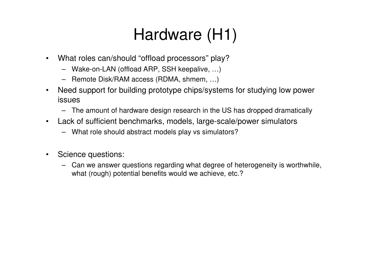- $\bullet$  What roles can/should "offload processors" play?
	- Wake-on-LAN (offload ARP, SSH keepalive, …)
	- Remote Disk/RAM access (RDMA, shmem, …)
- $\bullet$  Need support for building prototype chips/systems for studying low power issues
	- The amount of hardware design research in the US has dropped dramatically
- $\bullet$  Lack of sufficient benchmarks, models, large-scale/power simulators
	- What role should abstract models play vs simulators?
- $\bullet$  Science questions:
	- Can we answer questions regarding what degree of heterogeneity is worthwhile, what (rough) potential benefits would we achieve, etc.?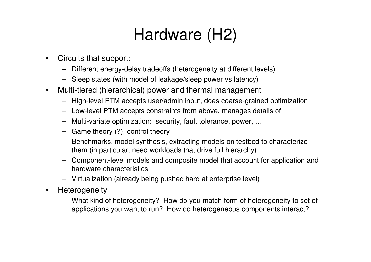- $\bullet$  Circuits that support:
	- Different energy-delay tradeoffs (heterogeneity at different levels)
	- Sleep states (with model of leakage/sleep power vs latency)
- $\bullet$  Multi-tiered (hierarchical) power and thermal management
	- High-level PTM accepts user/admin input, does coarse-grained optimization
	- Low-level PTM accepts constraints from above, manages details of
	- Multi-variate optimization: security, fault tolerance, power, …
	- Game theory (?), control theory
	- Benchmarks, model synthesis, extracting models on testbed to characterize them (in particular, need workloads that drive full hierarchy)
	- Component-level models and composite model that account for application and hardware characteristics
	- Virtualization (already being pushed hard at enterprise level)
- •**Heterogeneity** 
	- What kind of heterogeneity? How do you match form of heterogeneity to set of applications you want to run? How do heterogeneous components interact?